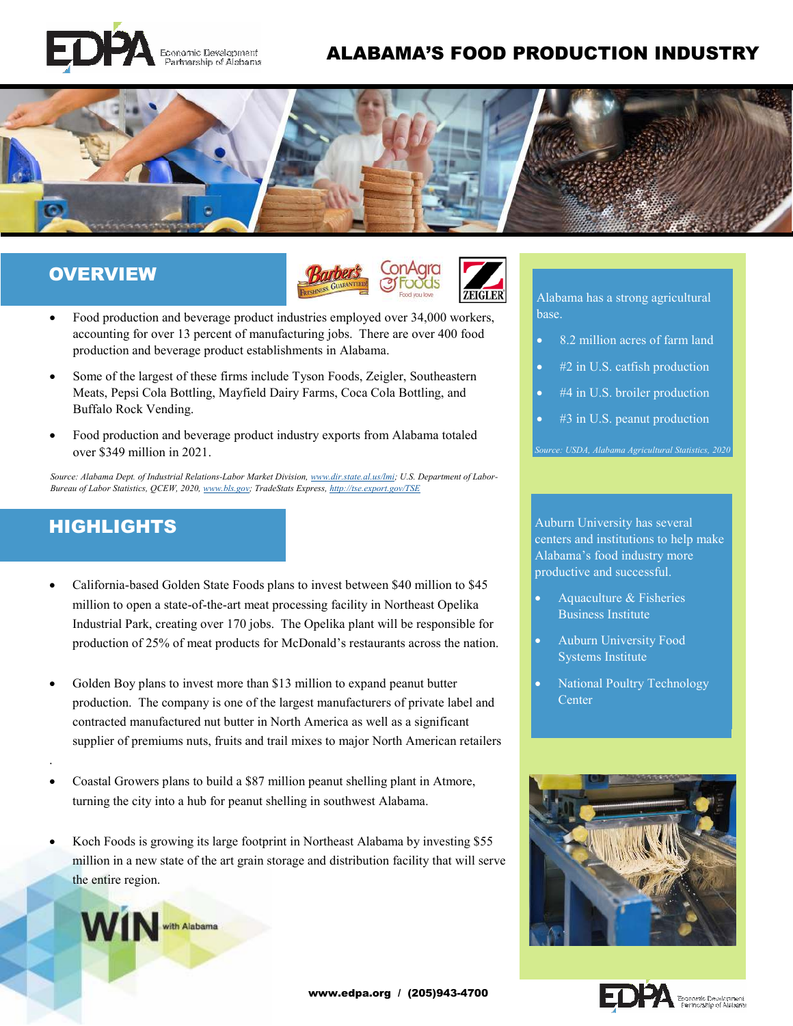

## ALABAMA'S FOOD PRODUCTION INDUSTRY



### **OVERVIEW**



- Food production and beverage product industries employed over 34,000 workers, accounting for over 13 percent of manufacturing jobs. There are over 400 food production and beverage product establishments in Alabama.
- Some of the largest of these firms include Tyson Foods, Zeigler, Southeastern Meats, Pepsi Cola Bottling, Mayfield Dairy Farms, Coca Cola Bottling, and Buffalo Rock Vending.
- Food production and beverage product industry exports from Alabama totaled over \$349 million in 2021.

*Source: Alabama Dept. of Industrial Relations-Labor Market Division, www.dir.state.al.us/lmi; U.S. Department of Labor-Bureau of Labor Statistics, QCEW, 2020, www.bls.gov; TradeStats Express, http://tse.export.gov/TSE*

### HIGHLIGHTS

WIN ... Alabama

.

- California-based Golden State Foods plans to invest between \$40 million to \$45 million to open a state-of-the-art meat processing facility in Northeast Opelika Industrial Park, creating over 170 jobs. The Opelika plant will be responsible for production of 25% of meat products for McDonald's restaurants across the nation.
- Golden Boy plans to invest more than \$13 million to expand peanut butter production. The company is one of the largest manufacturers of private label and contracted manufactured nut butter in North America as well as a significant supplier of premiums nuts, fruits and trail mixes to major North American retailers
- Coastal Growers plans to build a \$87 million peanut shelling plant in Atmore, turning the city into a hub for peanut shelling in southwest Alabama.
- Koch Foods is growing its large footprint in Northeast Alabama by investing \$55 million in a new state of the art grain storage and distribution facility that will serve the entire region.



- 8.2 million acres of farm land
- #2 in U.S. catfish production
- #4 in U.S. broiler production
- #3 in U.S. peanut production

*Source: USDA, Alabama Agricultural Statistics, 2020* 

Auburn University has several centers and institutions to help make Alabama's food industry more productive and successful.

- Aquaculture & Fisheries Business Institute
- Auburn University Food Systems Institute
- National Poultry Technology **Center**



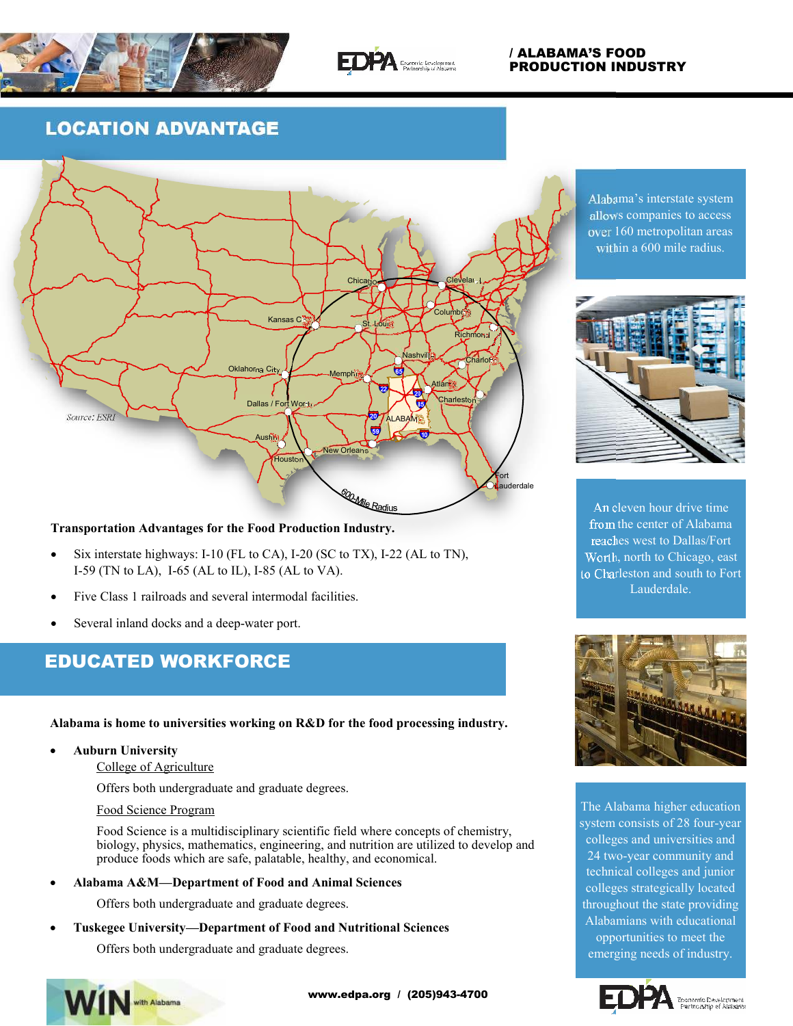



### / ALABAMA'S FOOD PRODUCTION INDUSTRY

# LOCATION ADVANTAGE



### **Transportation Advantages for the Food Production Industry.**

- Six interstate highways: I-10 (FL to CA), I-20 (SC to TX), I-22 (AL to TN), I-59 (TN to LA), I-65 (AL to IL), I-85 (AL to VA).
- Five Class 1 railroads and several intermodal facilities.
- Several inland docks and a deep-water port.

# EDUCATED WORKFORCE

**Alabama is home to universities working on R&D for the food processing industry.** 

### **Auburn University**

#### College of Agriculture

Offers both undergraduate and graduate degrees.

#### Food Science Program

Food Science is a multidisciplinary scientific field where concepts of chemistry, biology, physics, mathematics, engineering, and nutrition are utilized to develop and produce foods which are safe, palatable, healthy, and economical.

**Alabama A&M—Department of Food and Animal Sciences** 

Offers both undergraduate and graduate degrees.

**Tuskegee University—Department of Food and Nutritional Sciences** 

Offers both undergraduate and graduate degrees.



Alabama's interstate system allows companies to access over 160 metropolitan areas within a 600 mile radius.



An eleven hour drive time from the center of Alabama reaches west to Dallas/Fort Worth, north to Chicago, east to Charleston and south to Fort Lauderdale.



The Alabama higher education system consists of 28 four-year colleges and universities and 24 two-year community and technical colleges and junior colleges strategically located throughout the state providing Alabamians with educational opportunities to meet the emerging needs of industry.